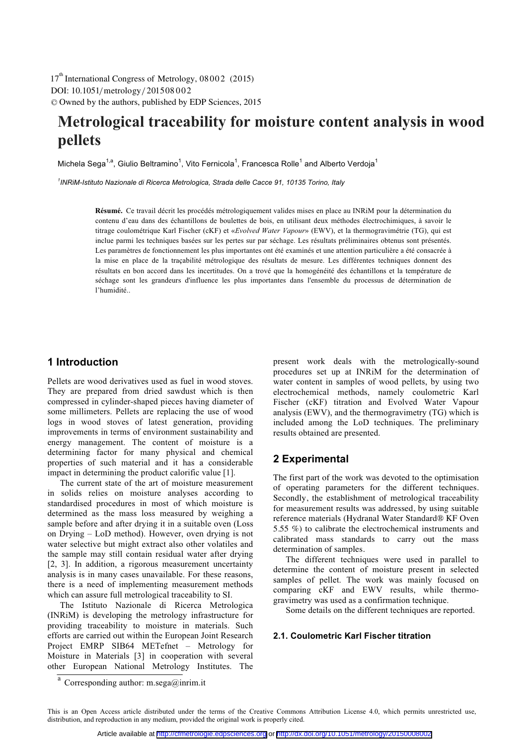DOI: 10.1051/metrology/201508002 -<sup>C</sup> Owned by the authors, published by EDP Sciences, 2015 17<sup>th</sup> International Congress of Metrology, 08002 (2015)

# **Metrological traceability for moisture content analysis in wood pellets**

Michela Sega<sup>1,a</sup>, Giulio Beltramino<sup>1</sup>, Vito Fernicola<sup>1</sup>, Francesca Rolle<sup>1</sup> and Alberto Verdoja<sup>1</sup>

*1 INRiM-Istituto Nazionale di Ricerca Metrologica, Strada delle Cacce 91, 10135 Torino, Italy* 

 Ce travail décrit les procédés métrologiquement valides mises en place au INRiM pour la détermination du **Résumé.** contenu d'eau dans des échantillons de boulettes de bois, en utilisant deux méthodes électrochimiques, à savoir le titrage coulométrique Karl Fischer (cKF) et «*Evolved Water Vapour*» (EWV), et la thermogravimétrie (TG), qui est inclue parmi les techniques basées sur les pertes sur par séchage. Les résultats préliminaires obtenus sont présentés. Les paramètres de fonctionnement les plus importantes ont été examinés et une attention particulière a été consacrée à la mise en place de la traçabilité métrologique des résultats de mesure. Les différentes techniques donnent des résultats en bon accord dans les incertitudes. On a trové que la homogénéité des échantillons et la température de séchage sont les grandeurs d'influence les plus importantes dans l'ensemble du processus de détermination de l'humidité..

# **1 Introduction**

Pellets are wood derivatives used as fuel in wood stoves. They are prepared from dried sawdust which is then compressed in cylinder-shaped pieces having diameter of some millimeters. Pellets are replacing the use of wood logs in wood stoves of latest generation, providing improvements in terms of environment sustainability and energy management. The content of moisture is a determining factor for many physical and chemical properties of such material and it has a considerable impact in determining the product calorific value [1].

The current state of the art of moisture measurement in solids relies on moisture analyses according to standardised procedures in most of which moisture is determined as the mass loss measured by weighing a sample before and after drying it in a suitable oven (Loss on Drying – LoD method). However, oven drying is not water selective but might extract also other volatiles and the sample may still contain residual water after drying [2, 3]. In addition, a rigorous measurement uncertainty analysis is in many cases unavailable. For these reasons, there is a need of implementing measurement methods which can assure full metrological traceability to SI.

The Istituto Nazionale di Ricerca Metrologica (INRiM) is developing the metrology infrastructure for providing traceability to moisture in materials. Such efforts are carried out within the European Joint Research Project EMRP SIB64 METefnet – Metrology for Moisture in Materials [3] in cooperation with several other European National Metrology Institutes. The

present work deals with the metrologically-sound procedures set up at INRiM for the determination of water content in samples of wood pellets, by using two electrochemical methods, namely coulometric Karl Fischer (cKF) titration and Evolved Water Vapour analysis (EWV), and the thermogravimetry (TG) which is included among the LoD techniques. The preliminary results obtained are presented.

# **2 Experimental**

The first part of the work was devoted to the optimisation of operating parameters for the different techniques. Secondly, the establishment of metrological traceability for measurement results was addressed, by using suitable reference materials (Hydranal Water Standard® KF Oven 5.55 %) to calibrate the electrochemical instruments and calibrated mass standards to carry out the mass determination of samples.

The different techniques were used in parallel to determine the content of moisture present in selected samples of pellet. The work was mainly focused on comparing cKF and EWV results, while thermogravimetry was used as a confirmation technique.

Some details on the different techniques are reported.

### **2.1. Coulometric Karl Fischer titration**

a Corresponding author: m.sega@inrim.it

This is an Open Access article distributed under the terms of the Creative Commons Attribution License 4.0, which permits unrestricted use, distribution, and reproduction in any medium, provided the original work is properly cited.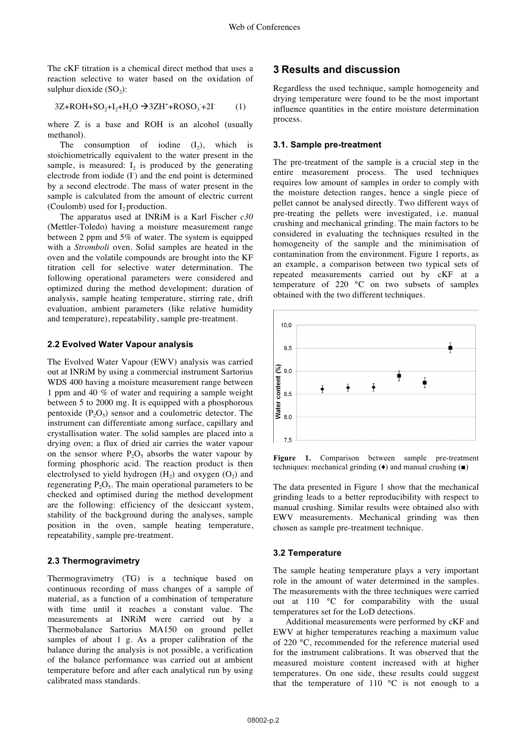The cKF titration is a chemical direct method that uses a reaction selective to water based on the oxidation of sulphur dioxide  $(SO<sub>2</sub>)$ :

$$
3Z + ROH + SO2+I2+H2O \rightarrow 3ZH^+ + ROSO3+2I
$$
 (1)

where Z is a base and ROH is an alcohol (usually methanol).

The consumption of iodine  $(I_2)$ , which is stoichiometrically equivalent to the water present in the sample, is measured:  $I_2$  is produced by the generating electrode from iodide (I) and the end point is determined by a second electrode. The mass of water present in the sample is calculated from the amount of electric current (Coulomb) used for  $I_2$  production.

The apparatus used at INRiM is a Karl Fischer *c30* (Mettler-Toledo) having a moisture measurement range between 2 ppm and 5% of water. The system is equipped with a *Stromboli* oven. Solid samples are heated in the oven and the volatile compounds are brought into the KF titration cell for selective water determination. The following operational parameters were considered and optimized during the method development: duration of analysis, sample heating temperature, stirring rate, drift evaluation, ambient parameters (like relative humidity and temperature), repeatability, sample pre-treatment.

#### **2.2 Evolved Water Vapour analysis**

The Evolved Water Vapour (EWV) analysis was carried out at INRiM by using a commercial instrument Sartorius WDS 400 having a moisture measurement range between 1 ppm and 40 % of water and requiring a sample weight between 5 to 2000 mg. It is equipped with a phosphorous pentoxide  $(P_2O_5)$  sensor and a coulometric detector. The instrument can differentiate among surface, capillary and crystallisation water. The solid samples are placed into a drying oven; a flux of dried air carries the water vapour on the sensor where  $P_2O_5$  absorbs the water vapour by forming phosphoric acid. The reaction product is then electrolysed to yield hydrogen  $(H<sub>2</sub>)$  and oxygen  $(O<sub>2</sub>)$  and regenerating  $P_2O_5$ . The main operational parameters to be checked and optimised during the method development are the following: efficiency of the desiccant system, stability of the background during the analyses, sample position in the oven, sample heating temperature, repeatability, sample pre-treatment.

#### **2.3 Thermogravimetry**

Thermogravimetry (TG) is a technique based on continuous recording of mass changes of a sample of material, as a function of a combination of temperature with time until it reaches a constant value. The measurements at INRiM were carried out by a Thermobalance Sartorius MA150 on ground pellet samples of about 1 g. As a proper calibration of the balance during the analysis is not possible, a verification of the balance performance was carried out at ambient temperature before and after each analytical run by using calibrated mass standards.

## **3 Results and discussion**

Regardless the used technique, sample homogeneity and drying temperature were found to be the most important influence quantities in the entire moisture determination process.

#### **3.1. Sample pre-treatment**

The pre-treatment of the sample is a crucial step in the entire measurement process. The used techniques requires low amount of samples in order to comply with the moisture detection ranges, hence a single piece of pellet cannot be analysed directly. Two different ways of pre-treating the pellets were investigated, i.e. manual crushing and mechanical grinding. The main factors to be considered in evaluating the techniques resulted in the homogeneity of the sample and the minimisation of contamination from the environment. Figure 1 reports, as an example, a comparison between two typical sets of repeated measurements carried out by cKF at a temperature of 220 °C on two subsets of samples obtained with the two different techniques.



**Figure 1.** Comparison between sample pre-treatment techniques: mechanical grinding  $(\bullet)$  and manual crushing  $(\bullet)$ 

The data presented in Figure 1 show that the mechanical grinding leads to a better reproducibility with respect to manual crushing. Similar results were obtained also with EWV measurements. Mechanical grinding was then chosen as sample pre-treatment technique.

#### **3.2 Temperature**

The sample heating temperature plays a very important role in the amount of water determined in the samples. The measurements with the three techniques were carried out at 110 °C for comparability with the usual temperatures set for the LoD detections.

Additional measurements were performed by cKF and EWV at higher temperatures reaching a maximum value of 220 °C, recommended for the reference material used for the instrument calibrations. It was observed that the measured moisture content increased with at higher temperatures. On one side, these results could suggest that the temperature of  $110\degree C$  is not enough to a